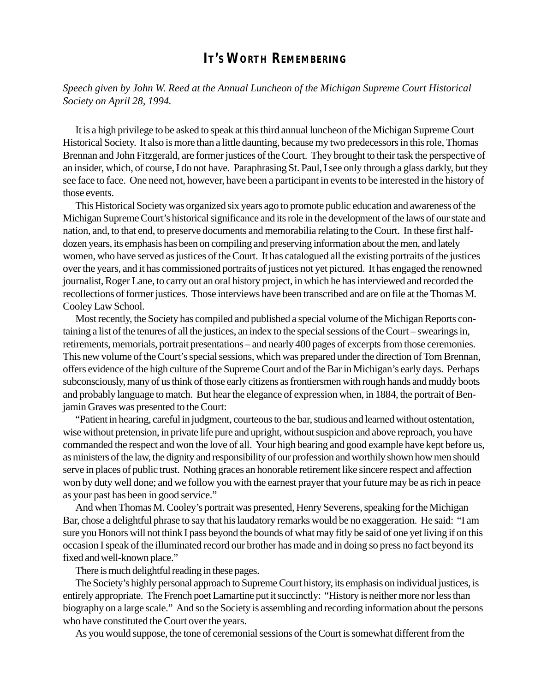## **IT'S WORTH REMEMBERING**

*Speech given by John W. Reed at the Annual Luncheon of the Michigan Supreme Court Historical Society on April 28, 1994.*

It is a high privilege to be asked to speak at this third annual luncheon of the Michigan Supreme Court Historical Society. It also is more than a little daunting, because my two predecessors in this role, Thomas Brennan and John Fitzgerald, are former justices of the Court. They brought to their task the perspective of an insider, which, of course, I do not have. Paraphrasing St. Paul, I see only through a glass darkly, but they see face to face. One need not, however, have been a participant in events to be interested in the history of those events.

This Historical Society was organized six years ago to promote public education and awareness of the Michigan Supreme Court's historical significance and its role in the development of the laws of our state and nation, and, to that end, to preserve documents and memorabilia relating to the Court. In these first halfdozen years, its emphasis has been on compiling and preserving information about the men, and lately women, who have served as justices of the Court. It has catalogued all the existing portraits of the justices over the years, and it has commissioned portraits of justices not yet pictured. It has engaged the renowned journalist, Roger Lane, to carry out an oral history project, in which he has interviewed and recorded the recollections of former justices. Those interviews have been transcribed and are on file at the Thomas M. Cooley Law School.

Most recently, the Society has compiled and published a special volume of the Michigan Reports containing a list of the tenures of all the justices, an index to the special sessions of the Court – swearings in, retirements, memorials, portrait presentations – and nearly 400 pages of excerpts from those ceremonies. This new volume of the Court's special sessions, which was prepared under the direction of Tom Brennan, offers evidence of the high culture of the Supreme Court and of the Bar in Michigan's early days. Perhaps subconsciously, many of us think of those early citizens as frontiersmen with rough hands and muddy boots and probably language to match. But hear the elegance of expression when, in 1884, the portrait of Benjamin Graves was presented to the Court:

"Patient in hearing, careful in judgment, courteous to the bar, studious and learned without ostentation, wise without pretension, in private life pure and upright, without suspicion and above reproach, you have commanded the respect and won the love of all. Your high bearing and good example have kept before us, as ministers of the law, the dignity and responsibility of our profession and worthily shown how men should serve in places of public trust. Nothing graces an honorable retirement like sincere respect and affection won by duty well done; and we follow you with the earnest prayer that your future may be as rich in peace as your past has been in good service."

And when Thomas M. Cooley's portrait was presented, Henry Severens, speaking for the Michigan Bar, chose a delightful phrase to say that his laudatory remarks would be no exaggeration. He said: "I am sure you Honors will not think I pass beyond the bounds of what may fitly be said of one yet living if on this occasion I speak of the illuminated record our brother has made and in doing so press no fact beyond its fixed and well-known place."

There is much delightful reading in these pages.

The Society's highly personal approach to Supreme Court history, its emphasis on individual justices, is entirely appropriate. The French poet Lamartine put it succinctly: "History is neither more nor less than biography on a large scale." And so the Society is assembling and recording information about the persons who have constituted the Court over the years.

As you would suppose, the tone of ceremonial sessions of the Court is somewhat different from the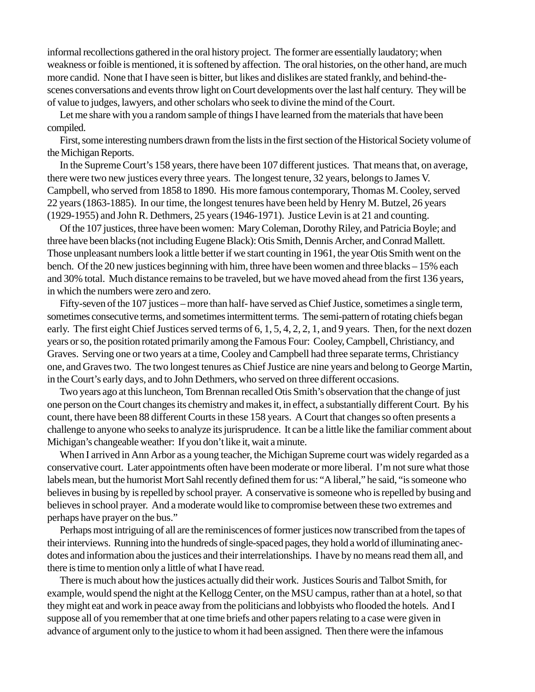informal recollections gathered in the oral history project. The former are essentially laudatory; when weakness or foible is mentioned, it is softened by affection. The oral histories, on the other hand, are much more candid. None that I have seen is bitter, but likes and dislikes are stated frankly, and behind-thescenes conversations and events throw light on Court developments over the last half century. They will be of value to judges, lawyers, and other scholars who seek to divine the mind of the Court.

Let me share with you a random sample of things I have learned from the materials that have been compiled.

First, some interesting numbers drawn from the lists in the first section of the Historical Society volume of the Michigan Reports.

In the Supreme Court's 158 years, there have been 107 different justices. That means that, on average, there were two new justices every three years. The longest tenure, 32 years, belongs to James V. Campbell, who served from 1858 to 1890. His more famous contemporary, Thomas M. Cooley, served 22 years (1863-1885). In our time, the longest tenures have been held by Henry M. Butzel, 26 years (1929-1955) and John R. Dethmers, 25 years (1946-1971). Justice Levin is at 21 and counting.

Of the 107 justices, three have been women: Mary Coleman, Dorothy Riley, and Patricia Boyle; and three have been blacks (not including Eugene Black): Otis Smith, Dennis Archer, and Conrad Mallett. Those unpleasant numbers look a little better if we start counting in 1961, the year Otis Smith went on the bench. Of the 20 new justices beginning with him, three have been women and three blacks – 15% each and 30% total. Much distance remains to be traveled, but we have moved ahead from the first 136 years, in which the numbers were zero and zero.

Fifty-seven of the 107 justices – more than half- have served as Chief Justice, sometimes a single term, sometimes consecutive terms, and sometimes intermittent terms. The semi-pattern of rotating chiefs began early. The first eight Chief Justices served terms of 6, 1, 5, 4, 2, 2, 1, and 9 years. Then, for the next dozen years or so, the position rotated primarily among the Famous Four: Cooley, Campbell, Christiancy, and Graves. Serving one or two years at a time, Cooley and Campbell had three separate terms, Christiancy one, and Graves two. The two longest tenures as Chief Justice are nine years and belong to George Martin, in the Court's early days, and to John Dethmers, who served on three different occasions.

Two years ago at this luncheon, Tom Brennan recalled Otis Smith's observation that the change of just one person on the Court changes its chemistry and makes it, in effect, a substantially different Court. By his count, there have been 88 different Courts in these 158 years. A Court that changes so often presents a challenge to anyone who seeks to analyze its jurisprudence. It can be a little like the familiar comment about Michigan's changeable weather: If you don't like it, wait a minute.

When I arrived in Ann Arbor as a young teacher, the Michigan Supreme court was widely regarded as a conservative court. Later appointments often have been moderate or more liberal. I'm not sure what those labels mean, but the humorist Mort Sahl recently defined them for us: "A liberal," he said, "is someone who believes in busing by is repelled by school prayer. A conservative is someone who is repelled by busing and believes in school prayer. And a moderate would like to compromise between these two extremes and perhaps have prayer on the bus."

Perhaps most intriguing of all are the reminiscences of former justices now transcribed from the tapes of their interviews. Running into the hundreds of single-spaced pages, they hold a world of illuminating anecdotes and information abou the justices and their interrelationships. I have by no means read them all, and there is time to mention only a little of what I have read.

There is much about how the justices actually did their work. Justices Souris and Talbot Smith, for example, would spend the night at the Kellogg Center, on the MSU campus, rather than at a hotel, so that they might eat and work in peace away from the politicians and lobbyists who flooded the hotels. And I suppose all of you remember that at one time briefs and other papers relating to a case were given in advance of argument only to the justice to whom it had been assigned. Then there were the infamous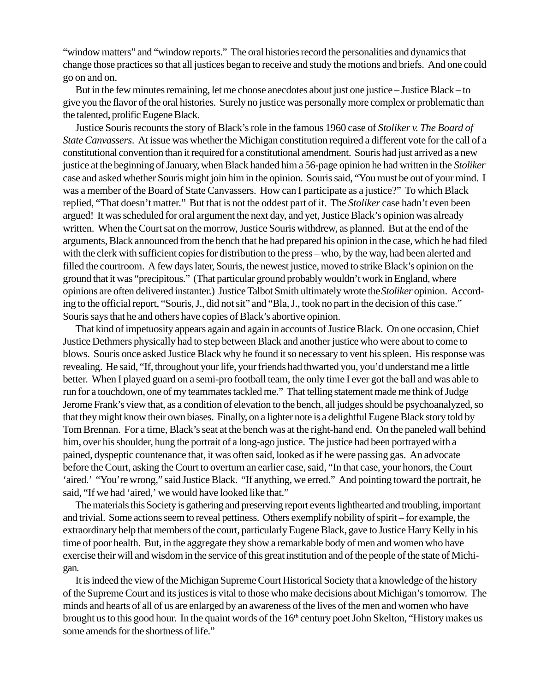"window matters" and "window reports." The oral histories record the personalities and dynamics that change those practices so that all justices began to receive and study the motions and briefs. And one could go on and on.

But in the few minutes remaining, let me choose anecdotes about just one justice – Justice Black – to give you the flavor of the oral histories. Surely no justice was personally more complex or problematic than the talented, prolific Eugene Black.

Justice Souris recounts the story of Black's role in the famous 1960 case of *Stoliker v. The Board of State Canvassers*. At issue was whether the Michigan constitution required a different vote for the call of a constitutional convention than it required for a constitutional amendment. Souris had just arrived as a new justice at the beginning of January, when Black handed him a 56-page opinion he had written in the *Stoliker* case and asked whether Souris might join him in the opinion. Souris said, "You must be out of your mind. I was a member of the Board of State Canvassers. How can I participate as a justice?" To which Black replied, "That doesn't matter." But that is not the oddest part of it. The *Stoliker* case hadn't even been argued! It was scheduled for oral argument the next day, and yet, Justice Black's opinion was already written. When the Court sat on the morrow, Justice Souris withdrew, as planned. But at the end of the arguments, Black announced from the bench that he had prepared his opinion in the case, which he had filed with the clerk with sufficient copies for distribution to the press – who, by the way, had been alerted and filled the courtroom. A few days later, Souris, the newest justice, moved to strike Black's opinion on the ground that it was "precipitous." (That particular ground probably wouldn't work in England, where opinions are often delivered instanter.) Justice Talbot Smith ultimately wrote the *Stoliker* opinion. According to the official report, "Souris, J., did not sit" and "Bla, J., took no part in the decision of this case." Souris says that he and others have copies of Black's abortive opinion.

That kind of impetuosity appears again and again in accounts of Justice Black. On one occasion, Chief Justice Dethmers physically had to step between Black and another justice who were about to come to blows. Souris once asked Justice Black why he found it so necessary to vent his spleen. His response was revealing. He said, "If, throughout your life, your friends had thwarted you, you'd understand me a little better. When I played guard on a semi-pro football team, the only time I ever got the ball and was able to run for a touchdown, one of my teammates tackled me." That telling statement made me think of Judge Jerome Frank's view that, as a condition of elevation to the bench, all judges should be psychoanalyzed, so that they might know their own biases. Finally, on a lighter note is a delightful Eugene Black story told by Tom Brennan. For a time, Black's seat at the bench was at the right-hand end. On the paneled wall behind him, over his shoulder, hung the portrait of a long-ago justice. The justice had been portrayed with a pained, dyspeptic countenance that, it was often said, looked as if he were passing gas. An advocate before the Court, asking the Court to overturn an earlier case, said, "In that case, your honors, the Court 'aired.' "You're wrong," said Justice Black. "If anything, we erred." And pointing toward the portrait, he said, "If we had 'aired,' we would have looked like that."

The materials this Society is gathering and preserving report events lighthearted and troubling, important and trivial. Some actions seem to reveal pettiness. Others exemplify nobility of spirit – for example, the extraordinary help that members of the court, particularly Eugene Black, gave to Justice Harry Kelly in his time of poor health. But, in the aggregate they show a remarkable body of men and women who have exercise their will and wisdom in the service of this great institution and of the people of the state of Michigan.

It is indeed the view of the Michigan Supreme Court Historical Society that a knowledge of the history of the Supreme Court and its justices is vital to those who make decisions about Michigan's tomorrow. The minds and hearts of all of us are enlarged by an awareness of the lives of the men and women who have brought us to this good hour. In the quaint words of the 16<sup>th</sup> century poet John Skelton, "History makes us some amends for the shortness of life."